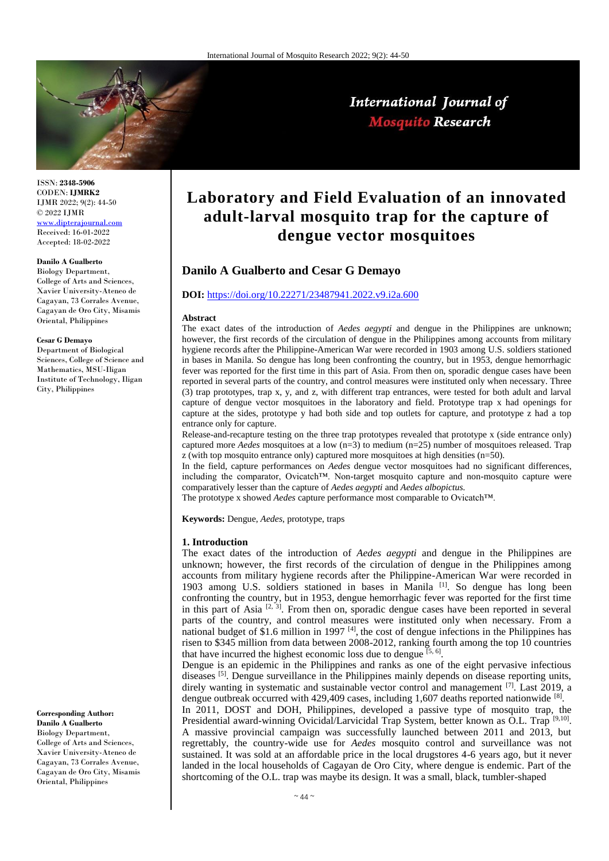

ISSN: **2348-5906** CODEN: **IJMRK2** IJMR 2022; 9(2): 44-50 © 2022 IJMR [www.dipterajournal.com](file://server/d/Mosquito/Issue/8%20Volume/www.dipterajournal.com) Received: 16-01-2022

Accepted: 18-02-2022

# **Danilo A Gualberto**

Biology Department, College of Arts and Sciences, Xavier University-Ateneo de Cagayan, 73 Corrales Avenue, Cagayan de Oro City, Misamis Oriental, Philippines

#### **Cesar G Demayo**

Department of Biological Sciences, College of Science and Mathematics, MSU-Iligan Institute of Technology, Iligan City, Philippines

**Corresponding Author: Danilo A Gualberto**

Biology Department, College of Arts and Sciences, Xavier University-Ateneo de Cagayan, 73 Corrales Avenue, Cagayan de Oro City, Misamis Oriental, Philippines

# **Laboratory and Field Evaluation of an innovated adult-larval mosquito trap for the capture of dengue vector mosquitoes**

International Journal of **Mosquito Research** 

# **Danilo A Gualberto and Cesar G Demayo**

#### **DOI:** <https://doi.org/10.22271/23487941.2022.v9.i2a.600>

#### **Abstract**

The exact dates of the introduction of *Aedes aegypti* and dengue in the Philippines are unknown; however, the first records of the circulation of dengue in the Philippines among accounts from military hygiene records after the Philippine-American War were recorded in 1903 among U.S. soldiers stationed in bases in Manila. So dengue has long been confronting the country, but in 1953, dengue hemorrhagic fever was reported for the first time in this part of Asia. From then on, sporadic dengue cases have been reported in several parts of the country, and control measures were instituted only when necessary. Three (3) trap prototypes, trap x, y, and z, with different trap entrances, were tested for both adult and larval capture of dengue vector mosquitoes in the laboratory and field. Prototype trap x had openings for capture at the sides, prototype y had both side and top outlets for capture, and prototype z had a top entrance only for capture.

Release-and-recapture testing on the three trap prototypes revealed that prototype x (side entrance only) captured more *Aedes* mosquitoes at a low (n=3) to medium (n=25) number of mosquitoes released. Trap z (with top mosquito entrance only) captured more mosquitoes at high densities (n=50).

In the field, capture performances on *Aedes* dengue vector mosquitoes had no significant differences, including the comparator, Ovicatch™. Non-target mosquito capture and non-mosquito capture were comparatively lesser than the capture of *Aedes aegypti* and *Aedes albopictus.*

The prototype x showed *Aedes* capture performance most comparable to Ovicatch™.

**Keywords:** Dengue, *Aedes*, prototype, traps

#### **1. Introduction**

The exact dates of the introduction of *Aedes aegypti* and dengue in the Philippines are unknown; however, the first records of the circulation of dengue in the Philippines among accounts from military hygiene records after the Philippine-American War were recorded in 1903 among U.S. soldiers stationed in bases in Manila [1]. So dengue has long been confronting the country, but in 1953, dengue hemorrhagic fever was reported for the first time in this part of Asia  $[2, 3]$ . From then on, sporadic dengue cases have been reported in several parts of the country, and control measures were instituted only when necessary. From a national budget of \$1.6 million in 1997  $[4]$ , the cost of dengue infections in the Philippines has risen to \$345 million from data between 2008-2012, ranking fourth among the top 10 countries that have incurred the highest economic loss due to dengue  $[5, 6]$ .

Dengue is an epidemic in the Philippines and ranks as one of the eight pervasive infectious diseases <sup>[5]</sup>. Dengue surveillance in the Philippines mainly depends on disease reporting units, direly wanting in systematic and sustainable vector control and management [7]. Last 2019, a dengue outbreak occurred with 429,409 cases, including 1,607 deaths reported nationwide [8].

In 2011, DOST and DOH, Philippines, developed a passive type of mosquito trap, the Presidential award-winning Ovicidal/Larvicidal Trap System, better known as O.L. Trap [9,10]. A massive provincial campaign was successfully launched between 2011 and 2013, but regrettably, the country-wide use for *Aedes* mosquito control and surveillance was not sustained. It was sold at an affordable price in the local drugstores 4-6 years ago, but it never landed in the local households of Cagayan de Oro City, where dengue is endemic. Part of the shortcoming of the O.L. trap was maybe its design. It was a small, black, tumbler-shaped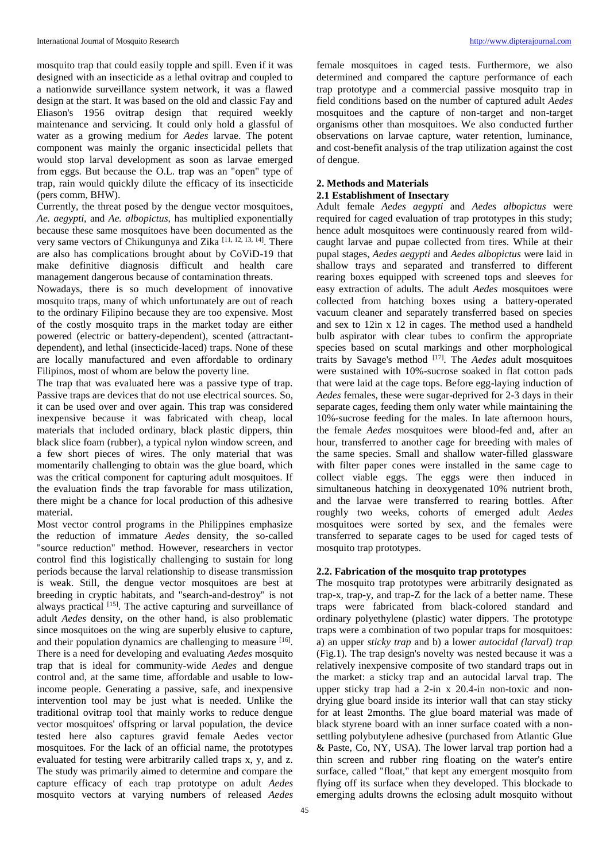mosquito trap that could easily topple and spill. Even if it was designed with an insecticide as a lethal ovitrap and coupled to a nationwide surveillance system network, it was a flawed design at the start. It was based on the old and classic Fay and Eliason's 1956 ovitrap design that required weekly maintenance and servicing. It could only hold a glassful of water as a growing medium for *Aedes* larvae. The potent component was mainly the organic insecticidal pellets that would stop larval development as soon as larvae emerged from eggs. But because the O.L. trap was an "open" type of trap, rain would quickly dilute the efficacy of its insecticide (pers comm, BHW).

Currently, the threat posed by the dengue vector mosquitoes*, Ae. aegypti,* and *Ae. albopictus,* has multiplied exponentially because these same mosquitoes have been documented as the very same vectors of Chikungunya and Zika<sup>[11, 12, 13, 14]</sup>. There are also has complications brought about by CoViD-19 that make definitive diagnosis difficult and health care management dangerous because of contamination threats.

Nowadays, there is so much development of innovative mosquito traps, many of which unfortunately are out of reach to the ordinary Filipino because they are too expensive. Most of the costly mosquito traps in the market today are either powered (electric or battery-dependent), scented (attractantdependent), and lethal (insecticide-laced) traps. None of these are locally manufactured and even affordable to ordinary Filipinos, most of whom are below the poverty line.

The trap that was evaluated here was a passive type of trap. Passive traps are devices that do not use electrical sources. So, it can be used over and over again. This trap was considered inexpensive because it was fabricated with cheap, local materials that included ordinary, black plastic dippers, thin black slice foam (rubber), a typical nylon window screen, and a few short pieces of wires. The only material that was momentarily challenging to obtain was the glue board, which was the critical component for capturing adult mosquitoes. If the evaluation finds the trap favorable for mass utilization, there might be a chance for local production of this adhesive material.

Most vector control programs in the Philippines emphasize the reduction of immature *Aedes* density, the so-called "source reduction" method. However, researchers in vector control find this logistically challenging to sustain for long periods because the larval relationship to disease transmission is weak. Still, the dengue vector mosquitoes are best at breeding in cryptic habitats, and "search-and-destroy" is not always practical [15]. The active capturing and surveillance of adult *Aedes* density, on the other hand, is also problematic since mosquitoes on the wing are superbly elusive to capture, and their population dynamics are challenging to measure [16]. There is a need for developing and evaluating *Aedes* mosquito trap that is ideal for community-wide *Aedes* and dengue control and, at the same time, affordable and usable to lowincome people. Generating a passive, safe, and inexpensive intervention tool may be just what is needed. Unlike the traditional ovitrap tool that mainly works to reduce dengue vector mosquitoes' offspring or larval population, the device tested here also captures gravid female Aedes vector mosquitoes. For the lack of an official name, the prototypes evaluated for testing were arbitrarily called traps x, y, and z. The study was primarily aimed to determine and compare the capture efficacy of each trap prototype on adult *Aedes*  mosquito vectors at varying numbers of released *Aedes* 

female mosquitoes in caged tests. Furthermore, we also determined and compared the capture performance of each trap prototype and a commercial passive mosquito trap in field conditions based on the number of captured adult *Aedes* mosquitoes and the capture of non-target and non-target organisms other than mosquitoes. We also conducted further observations on larvae capture, water retention, luminance, and cost-benefit analysis of the trap utilization against the cost of dengue.

# **2. Methods and Materials**

# **2.1 Establishment of Insectary**

Adult female *Aedes aegypti* and *Aedes albopictus* were required for caged evaluation of trap prototypes in this study; hence adult mosquitoes were continuously reared from wildcaught larvae and pupae collected from tires. While at their pupal stages, *Aedes aegypti* and *Aedes albopictus* were laid in shallow trays and separated and transferred to different rearing boxes equipped with screened tops and sleeves for easy extraction of adults. The adult *Aedes* mosquitoes were collected from hatching boxes using a battery-operated vacuum cleaner and separately transferred based on species and sex to 12in x 12 in cages. The method used a handheld bulb aspirator with clear tubes to confirm the appropriate species based on scutal markings and other morphological traits by Savage's method [17]. The *Aedes* adult mosquitoes were sustained with 10%-sucrose soaked in flat cotton pads that were laid at the cage tops. Before egg-laying induction of *Aedes* females, these were sugar-deprived for 2-3 days in their separate cages, feeding them only water while maintaining the 10%-sucrose feeding for the males. In late afternoon hours, the female *Aedes* mosquitoes were blood-fed and, after an hour, transferred to another cage for breeding with males of the same species. Small and shallow water-filled glassware with filter paper cones were installed in the same cage to collect viable eggs. The eggs were then induced in simultaneous hatching in deoxygenated 10% nutrient broth, and the larvae were transferred to rearing bottles. After roughly two weeks, cohorts of emerged adult *Aedes*  mosquitoes were sorted by sex, and the females were transferred to separate cages to be used for caged tests of mosquito trap prototypes.

# **2.2. Fabrication of the mosquito trap prototypes**

The mosquito trap prototypes were arbitrarily designated as trap-x, trap-y, and trap-Z for the lack of a better name. These traps were fabricated from black-colored standard and ordinary polyethylene (plastic) water dippers. The prototype traps were a combination of two popular traps for mosquitoes: a) an upper *sticky trap* and b) a lower *autocidal (larval) trap* (Fig.1)*.* The trap design's novelty was nested because it was a relatively inexpensive composite of two standard traps out in the market: a sticky trap and an autocidal larval trap. The upper sticky trap had a 2-in x 20.4-in non-toxic and nondrying glue board inside its interior wall that can stay sticky for at least 2months. The glue board material was made of black styrene board with an inner surface coated with a nonsettling polybutylene adhesive (purchased from Atlantic Glue & Paste, Co, NY, USA). The lower larval trap portion had a thin screen and rubber ring floating on the water's entire surface, called "float," that kept any emergent mosquito from flying off its surface when they developed. This blockade to emerging adults drowns the eclosing adult mosquito without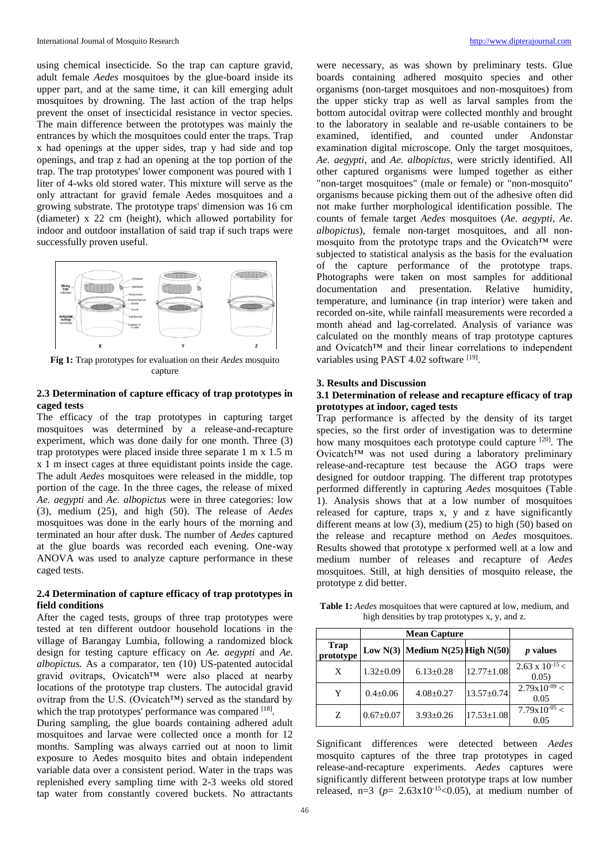using chemical insecticide. So the trap can capture gravid, adult female *Aedes* mosquitoes by the glue-board inside its upper part, and at the same time, it can kill emerging adult mosquitoes by drowning. The last action of the trap helps prevent the onset of insecticidal resistance in vector species. The main difference between the prototypes was mainly the entrances by which the mosquitoes could enter the traps. Trap x had openings at the upper sides, trap y had side and top openings, and trap z had an opening at the top portion of the trap. The trap prototypes' lower component was poured with 1 liter of 4-wks old stored water. This mixture will serve as the only attractant for gravid female Aedes mosquitoes and a growing substrate. The prototype traps' dimension was 16 cm (diameter) x 22 cm (height), which allowed portability for indoor and outdoor installation of said trap if such traps were successfully proven useful.



**Fig 1:** Trap prototypes for evaluation on their *Aedes* mosquito capture

# **2.3 Determination of capture efficacy of trap prototypes in caged tests**

The efficacy of the trap prototypes in capturing target mosquitoes was determined by a release-and-recapture experiment, which was done daily for one month. Three (3) trap prototypes were placed inside three separate 1 m x 1.5 m x 1 m insect cages at three equidistant points inside the cage. The adult *Aedes* mosquitoes were released in the middle, top portion of the cage. In the three cages, the release of mixed *Ae. aegypti* and *Ae. albopictus* were in three categories: low (3), medium (25), and high (50). The release of *Aedes*  mosquitoes was done in the early hours of the morning and terminated an hour after dusk. The number of *Aedes* captured at the glue boards was recorded each evening. One-way ANOVA was used to analyze capture performance in these caged tests.

### **2.4 Determination of capture efficacy of trap prototypes in field conditions**

After the caged tests, groups of three trap prototypes were tested at ten different outdoor household locations in the village of Barangay Lumbia, following a randomized block design for testing capture efficacy on *Ae. aegypti* and *Ae. albopictus.* As a comparator, ten (10) US-patented autocidal gravid ovitraps, Ovicatch™ were also placed at nearby locations of the prototype trap clusters. The autocidal gravid ovitrap from the U.S. (Ovicatch™) served as the standard by which the trap prototypes' performance was compared [18].

During sampling, the glue boards containing adhered adult mosquitoes and larvae were collected once a month for 12 months. Sampling was always carried out at noon to limit exposure to Aedes mosquito bites and obtain independent variable data over a consistent period. Water in the traps was replenished every sampling time with 2-3 weeks old stored tap water from constantly covered buckets. No attractants

were necessary, as was shown by preliminary tests. Glue boards containing adhered mosquito species and other organisms (non-target mosquitoes and non-mosquitoes) from the upper sticky trap as well as larval samples from the bottom autocidal ovitrap were collected monthly and brought to the laboratory in sealable and re-usable containers to be examined, identified, and counted under Andonstar examination digital microscope. Only the target mosquitoes, *Ae. aegypti,* and *Ae. albopictus,* were strictly identified. All other captured organisms were lumped together as either "non-target mosquitoes" (male or female) or "non-mosquito" organisms because picking them out of the adhesive often did not make further morphological identification possible. The counts of female target *Aedes* mosquitoes (*Ae. aegypti, Ae. albopictus*), female non-target mosquitoes, and all nonmosquito from the prototype traps and the Ovicatch™ were subjected to statistical analysis as the basis for the evaluation of the capture performance of the prototype traps. Photographs were taken on most samples for additional documentation and presentation. Relative humidity, temperature, and luminance (in trap interior) were taken and recorded on-site, while rainfall measurements were recorded a month ahead and lag-correlated. Analysis of variance was calculated on the monthly means of trap prototype captures and Ovicatch™ and their linear correlations to independent variables using PAST 4.02 software [19].

#### **3. Results and Discussion**

#### **3.1 Determination of release and recapture efficacy of trap prototypes at indoor, caged tests**

Trap performance is affected by the density of its target species, so the first order of investigation was to determine how many mosquitoes each prototype could capture <sup>[20]</sup>. The Ovicatch™ was not used during a laboratory preliminary release-and-recapture test because the AGO traps were designed for outdoor trapping. The different trap prototypes performed differently in capturing *Aedes* mosquitoes (Table 1). Analysis shows that at a low number of mosquitoes released for capture, traps x, y and z have significantly different means at low (3), medium (25) to high (50) based on the release and recapture method on *Aedes* mosquitoes. Results showed that prototype x performed well at a low and medium number of releases and recapture of *Aedes*  mosquitoes. Still, at high densities of mosquito release, the prototype z did better.

|                          | <b>Mean Capture</b> |                                        |                  |                                 |
|--------------------------|---------------------|----------------------------------------|------------------|---------------------------------|
| <b>Trap</b><br>prototype |                     | Low $N(3)$ Medium $N(25)$ High $N(50)$ |                  | <i>p</i> values                 |
| X                        | $1.32 \pm 0.09$     | $6.13 \pm 0.28$                        | $12.77 \pm 1.08$ | $2.63 \times 10^{-15}$<br>0.05) |
| Y                        | $0.4 \pm 0.06$      | $4.08 \pm 0.27$                        | $13.57 \pm 0.74$ | $2.79x10^{-09} <$<br>0.05       |
| Z                        | $0.67 \pm 0.07$     | $3.93 \pm 0.26$                        | $17.53 \pm 1.08$ | $7.79x10^{-05} <$<br>0.05       |

**Table 1:** *Aedes* mosquitoes that were captured at low, medium, and high densities by trap prototypes x, y, and z.

Significant differences were detected between *Aedes*  mosquito captures of the three trap prototypes in caged release-and-recapture experiments. *Aedes* captures were significantly different between prototype traps at low number released,  $n=3$  ( $p= 2.63x10^{-15} < 0.05$ ), at medium number of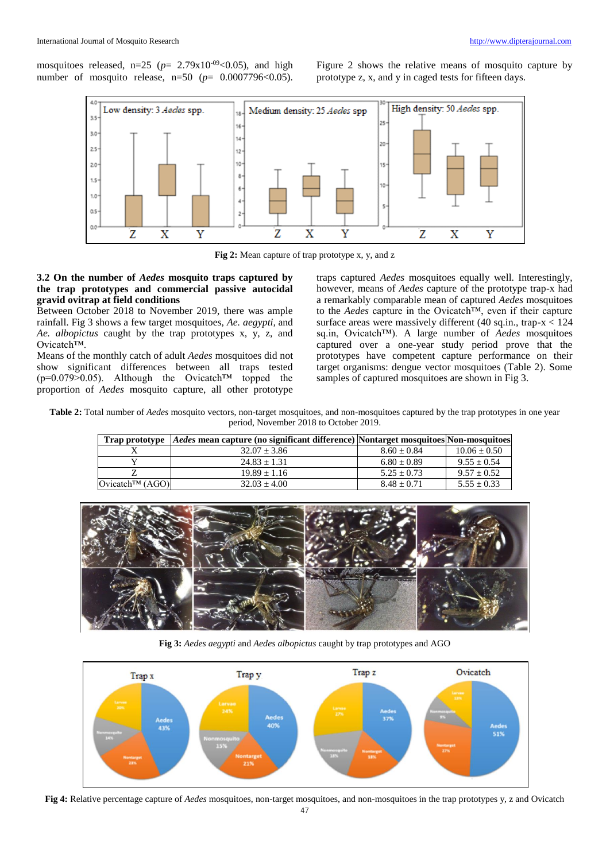mosquitoes released,  $n=25$  ( $p= 2.79x10^{-09} < 0.05$ ), and high number of mosquito release,  $n=50$  ( $p= 0.0007796 \le 0.05$ ).

Figure 2 shows the relative means of mosquito capture by prototype z, x, and y in caged tests for fifteen days.



**Fig 2:** Mean capture of trap prototype x, y, and z

#### **3.2 On the number of** *Aedes* **mosquito traps captured by the trap prototypes and commercial passive autocidal gravid ovitrap at field conditions**

Between October 2018 to November 2019, there was ample rainfall. Fig 3 shows a few target mosquitoes, *Ae. aegypti,* and *Ae. albopictus* caught by the trap prototypes x, y, z, and Ovicatch™.

Means of the monthly catch of adult *Aedes* mosquitoes did not show significant differences between all traps tested  $(p=0.079>0.05)$ . Although the Ovicatch<sup>TM</sup> topped the proportion of *Aedes* mosquito capture, all other prototype

traps captured *Aedes* mosquitoes equally well. Interestingly, however, means of *Aedes* capture of the prototype trap-x had a remarkably comparable mean of captured *Aedes* mosquitoes to the *Aedes* capture in the Ovicatch™, even if their capture surface areas were massively different (40 sq.in., trap-x < 124 sq.in, Ovicatch™). A large number of *Aedes* mosquitoes captured over a one-year study period prove that the prototypes have competent capture performance on their target organisms: dengue vector mosquitoes (Table 2). Some samples of captured mosquitoes are shown in Fig 3.

**Table 2:** Total number of *Aedes* mosquito vectors, non-target mosquitoes, and non-mosquitoes captured by the trap prototypes in one year period, November 2018 to October 2019.

| <b>Trap prototype</b>          | <i>Aedes</i> mean capture (no significant difference) Nontarget mosquitoes Non-mosquitoes |               |                |
|--------------------------------|-------------------------------------------------------------------------------------------|---------------|----------------|
|                                | $32.07 + 3.86$                                                                            | $8.60 + 0.84$ | $10.06 + 0.50$ |
|                                | $24.83 + 1.31$                                                                            | $6.80 + 0.89$ | $9.55 + 0.54$  |
|                                | $19.89 + 1.16$                                                                            | $5.25 + 0.73$ | $9.57 + 0.52$  |
| Ovicatch <sup>TM</sup> $(AGO)$ | $32.03 + 4.00$                                                                            | $8.48 + 0.71$ | $5.55 + 0.33$  |



**Fig 3:** *Aedes aegypti* and *Aedes albopictus* caught by trap prototypes and AGO



**Fig 4:** Relative percentage capture of *Aedes* mosquitoes, non-target mosquitoes, and non-mosquitoes in the trap prototypes y, z and Ovicatch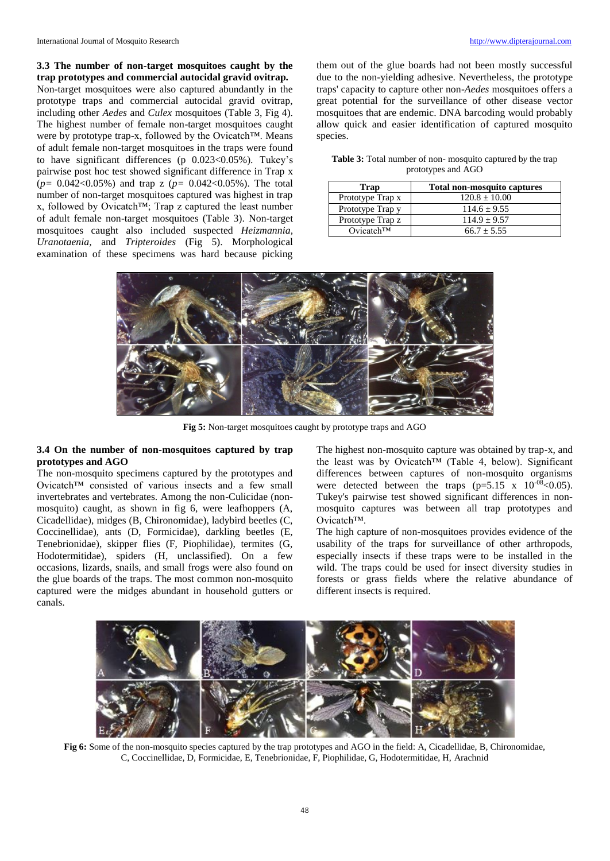**3.3 The number of non-target mosquitoes caught by the** 

**trap prototypes and commercial autocidal gravid ovitrap.** Non-target mosquitoes were also captured abundantly in the prototype traps and commercial autocidal gravid ovitrap, including other *Aedes* and *Culex* mosquitoes (Table 3, Fig 4). The highest number of female non-target mosquitoes caught were by prototype trap-x, followed by the Ovicatch™. Means of adult female non-target mosquitoes in the traps were found to have significant differences (p 0.023<0.05%). Tukey's pairwise post hoc test showed significant difference in Trap x (*p=* 0.042<0.05%) and trap z (*p=* 0.042<0.05%). The total number of non-target mosquitoes captured was highest in trap x, followed by Ovicatch™; Trap z captured the least number of adult female non-target mosquitoes (Table 3). Non-target mosquitoes caught also included suspected *Heizmannia, Uranotaenia,* and *Tripteroides* (Fig 5). Morphological examination of these specimens was hard because picking

them out of the glue boards had not been mostly successful due to the non-yielding adhesive. Nevertheless, the prototype traps' capacity to capture other non-*Aedes* mosquitoes offers a great potential for the surveillance of other disease vector mosquitoes that are endemic. DNA barcoding would probably allow quick and easier identification of captured mosquito species.

**Table 3:** Total number of non- mosquito captured b*y* the trap prototypes and AGO

| Trap                   | <b>Total non-mosquito captures</b> |  |
|------------------------|------------------------------------|--|
| Prototype Trap x       | $120.8 \pm 10.00$                  |  |
| Prototype Trap y       | $114.6 + 9.55$                     |  |
| Prototype Trap z       | $114.9 \pm 9.57$                   |  |
| Ovicatch <sup>TM</sup> | $66.7 + 5.55$                      |  |



**Fig 5:** Non-target mosquitoes caught by prototype traps and AGO

## **3.4 On the number of non-mosquitoes captured by trap prototypes and AGO**

The non-mosquito specimens captured by the prototypes and Ovicatch™ consisted of various insects and a few small invertebrates and vertebrates. Among the non-Culicidae (nonmosquito) caught, as shown in fig 6, were leafhoppers (A, Cicadellidae), midges (B, Chironomidae), ladybird beetles (C, Coccinellidae), ants (D, Formicidae), darkling beetles (E, Tenebrionidae), skipper flies (F, Piophilidae), termites (G, Hodotermitidae), spiders (H, unclassified). On a few occasions, lizards, snails, and small frogs were also found on the glue boards of the traps. The most common non-mosquito captured were the midges abundant in household gutters or canals.

The highest non-mosquito capture was obtained by trap-x, and the least was by Ovicatch™ (Table 4, below). Significant differences between captures of non-mosquito organisms were detected between the traps  $(p=5.15 \text{ x } 10^{-08} < 0.05)$ . Tukey's pairwise test showed significant differences in nonmosquito captures was between all trap prototypes and Ovicatch™.

The high capture of non-mosquitoes provides evidence of the usability of the traps for surveillance of other arthropods, especially insects if these traps were to be installed in the wild. The traps could be used for insect diversity studies in forests or grass fields where the relative abundance of different insects is required.



**Fig 6:** Some of the non-mosquito species captured by the trap prototypes and AGO in the field: A, Cicadellidae, B, Chironomidae, C, Coccinellidae, D, Formicidae, E, Tenebrionidae, F, Piophilidae, G, Hodotermitidae, H, Arachnid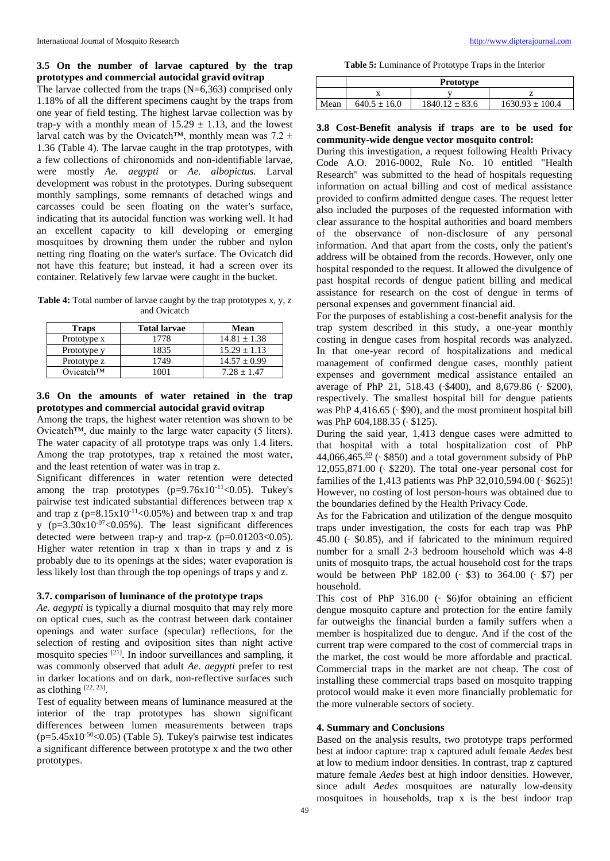# **3.5 On the number of larvae captured by the trap prototypes and commercial autocidal gravid ovitrap**

The larvae collected from the traps (N=6,363) comprised only 1.18% of all the different specimens caught by the traps from one year of field testing. The highest larvae collection was by trap-y with a monthly mean of  $15.29 \pm 1.13$ , and the lowest larval catch was by the Ovicatch™, monthly mean was 7.2  $\pm$ 1.36 (Table 4). The larvae caught in the trap prototypes, with a few collections of chironomids and non-identifiable larvae, were mostly *Ae. aegypti* or *Ae. albopictus.* Larval development was robust in the prototypes. During subsequent monthly samplings, some remnants of detached wings and carcasses could be seen floating on the water's surface, indicating that its autocidal function was working well. It had an excellent capacity to kill developing or emerging mosquitoes by drowning them under the rubber and nylon netting ring floating on the water's surface. The Ovicatch did not have this feature; but instead, it had a screen over its container. Relatively few larvae were caught in the bucket.

**Table 4:** Total number of larvae caught by the trap prototypes x, y, z and Ovicatch

| <b>Traps</b>           | <b>Total larvae</b> | Mean             |
|------------------------|---------------------|------------------|
| Prototype x            | 1778                | $14.81 \pm 1.38$ |
| Prototype y            | 1835                | $15.29 \pm 1.13$ |
| Prototype z            | 1749                | $14.57 \pm 0.99$ |
| Ovicatch <sup>TM</sup> | ۱۸۸۱                | $7.28 + 1.47$    |

# **3.6 On the amounts of water retained in the trap prototypes and commercial autocidal gravid ovitrap**

Among the traps, the highest water retention was shown to be Ovicatch™, due mainly to the large water capacity (5 liters). The water capacity of all prototype traps was only 1.4 liters. Among the trap prototypes, trap x retained the most water, and the least retention of water was in trap z.

Significant differences in water retention were detected among the trap prototypes  $(p=9.76x10^{-11} < 0.05)$ . Tukey's pairwise test indicated substantial differences between trap x and trap z  $(p=8.15x10^{-11} < 0.05\%)$  and between trap x and trap y  $(p=3.30x10^{-07} < 0.05\%)$ . The least significant differences detected were between trap-y and trap-z  $(p=0.01203<0.05)$ . Higher water retention in trap x than in traps y and z is probably due to its openings at the sides; water evaporation is less likely lost than through the top openings of traps y and z.

#### **3.7. comparison of luminance of the prototype traps**

*Ae. aegypti* is typically a diurnal mosquito that may rely more on optical cues, such as the contrast between dark container openings and water surface (specular) reflections, for the selection of resting and oviposition sites than night active mosquito species [21]. In indoor surveillances and sampling, it was commonly observed that adult *Ae. aegypti* prefer to rest in darker locations and on dark, non-reflective surfaces such as clothing  $[22, 23]$ .

Test of equality between means of luminance measured at the interior of the trap prototypes has shown significant differences between lumen measurements between traps  $(p=5.45x10^{-50}$ <0.05) (Table 5). Tukey's pairwise test indicates a significant difference between prototype x and the two other prototypes.

**Table 5:** Luminance of Prototype Traps in the Interior

|      | <b>Prototype</b> |                    |                     |  |
|------|------------------|--------------------|---------------------|--|
|      |                  |                    |                     |  |
| Mean | $640.5 \pm 16.0$ | $1840.12 \pm 83.6$ | $1630.93 \pm 100.4$ |  |

# **3.8 Cost-Benefit analysis if traps are to be used for community-wide dengue vector mosquito control:**

During this investigation, a request following Health Privacy Code A.O. 2016-0002, Rule No. 10 entitled "Health Research" was submitted to the head of hospitals requesting information on actual billing and cost of medical assistance provided to confirm admitted dengue cases. The request letter also included the purposes of the requested information with clear assurance to the hospital authorities and board members of the observance of non-disclosure of any personal information. And that apart from the costs, only the patient's address will be obtained from the records. However, only one hospital responded to the request. It allowed the divulgence of past hospital records of dengue patient billing and medical assistance for research on the cost of dengue in terms of personal expenses and government financial aid.

For the purposes of establishing a cost-benefit analysis for the trap system described in this study, a one-year monthly costing in dengue cases from hospital records was analyzed. In that one-year record of hospitalizations and medical management of confirmed dengue cases, monthly patient expenses and government medical assistance entailed an average of PhP 21, 518.43 (-\$400), and 8,679.86 (- \$200), respectively. The smallest hospital bill for dengue patients was PhP  $4,416.65$  ( $\cdot$  \$90), and the most prominent hospital bill was PhP 604,188.35 (~ \$125).

During the said year, 1,413 dengue cases were admitted to that hospital with a total hospitalization cost of PhP 44,066,465. $\frac{00}{x}$  ( $\frac{0}{x}$  \$850) and a total government subsidy of PhP  $12,055,871.00$  ( $\leq$  \$220). The total one-year personal cost for families of the 1,413 patients was PhP  $32,010,594.00$  ( $\cdot$  \$625)! However, no costing of lost person-hours was obtained due to the boundaries defined by the Health Privacy Code.

As for the Fabrication and utilization of the dengue mosquito traps under investigation, the costs for each trap was PhP 45.00 (˜ \$0.85), and if fabricated to the minimum required number for a small 2-3 bedroom household which was 4-8 units of mosquito traps, the actual household cost for the traps would be between PhP 182.00 ( $\cdot$  \$3) to 364.00 ( $\cdot$  \$7) per household.

This cost of PhP  $316.00$  ( $\degree$  \$6)for obtaining an efficient dengue mosquito capture and protection for the entire family far outweighs the financial burden a family suffers when a member is hospitalized due to dengue. And if the cost of the current trap were compared to the cost of commercial traps in the market, the cost would be more affordable and practical. Commercial traps in the market are not cheap. The cost of installing these commercial traps based on mosquito trapping protocol would make it even more financially problematic for the more vulnerable sectors of society.

#### **4. Summary and Conclusions**

Based on the analysis results, two prototype traps performed best at indoor capture: trap x captured adult female *Aedes* best at low to medium indoor densities. In contrast, trap z captured mature female *Aedes* best at high indoor densities. However, since adult *Aedes* mosquitoes are naturally low-density mosquitoes in households, trap x is the best indoor trap